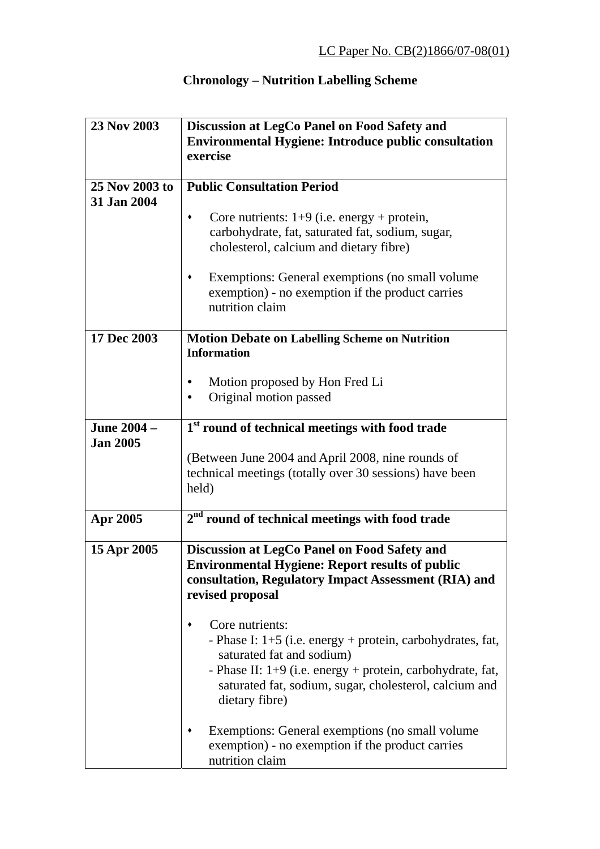## **Chronology – Nutrition Labelling Scheme**

| 23 Nov 2003     | Discussion at LegCo Panel on Food Safety and                                            |
|-----------------|-----------------------------------------------------------------------------------------|
|                 | <b>Environmental Hygiene: Introduce public consultation</b>                             |
|                 | exercise                                                                                |
|                 |                                                                                         |
| 25 Nov 2003 to  | <b>Public Consultation Period</b>                                                       |
| 31 Jan 2004     |                                                                                         |
|                 | Core nutrients: $1+9$ (i.e. energy + protein,                                           |
|                 | carbohydrate, fat, saturated fat, sodium, sugar,                                        |
|                 | cholesterol, calcium and dietary fibre)                                                 |
|                 | Exemptions: General exemptions (no small volume)                                        |
|                 | exemption) - no exemption if the product carries                                        |
|                 | nutrition claim                                                                         |
|                 |                                                                                         |
| 17 Dec 2003     | <b>Motion Debate on Labelling Scheme on Nutrition</b>                                   |
|                 | <b>Information</b>                                                                      |
|                 |                                                                                         |
|                 | Motion proposed by Hon Fred Li                                                          |
|                 | Original motion passed                                                                  |
|                 |                                                                                         |
| June 2004 -     | 1 <sup>st</sup> round of technical meetings with food trade                             |
| <b>Jan 2005</b> |                                                                                         |
|                 | (Between June 2004 and April 2008, nine rounds of                                       |
|                 | technical meetings (totally over 30 sessions) have been                                 |
|                 | held)                                                                                   |
| Apr 2005        | $2nd$ round of technical meetings with food trade                                       |
|                 |                                                                                         |
| 15 Apr 2005     | Discussion at LegCo Panel on Food Safety and                                            |
|                 | <b>Environmental Hygiene: Report results of public</b>                                  |
|                 | consultation, Regulatory Impact Assessment (RIA) and                                    |
|                 | revised proposal                                                                        |
|                 |                                                                                         |
|                 | Core nutrients:                                                                         |
|                 | - Phase I: 1+5 (i.e. energy + protein, carbohydrates, fat,                              |
|                 | saturated fat and sodium)<br>- Phase II: 1+9 (i.e. energy + protein, carbohydrate, fat, |
|                 | saturated fat, sodium, sugar, cholesterol, calcium and                                  |
|                 | dietary fibre)                                                                          |
|                 |                                                                                         |
|                 | Exemptions: General exemptions (no small volume                                         |
|                 | exemption) - no exemption if the product carries                                        |
|                 | nutrition claim                                                                         |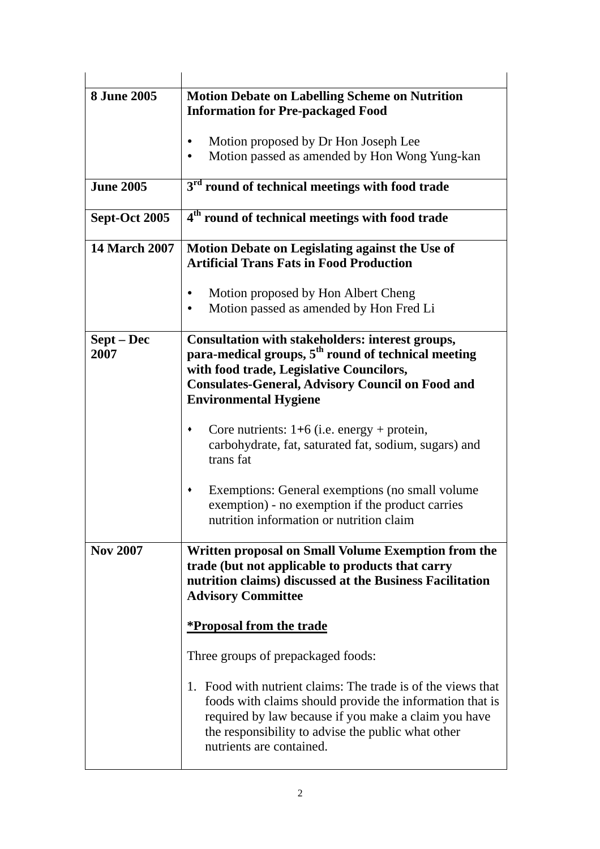| <b>8 June 2005</b>   | <b>Motion Debate on Labelling Scheme on Nutrition</b><br><b>Information for Pre-packaged Food</b>                                                                                                                                                                  |
|----------------------|--------------------------------------------------------------------------------------------------------------------------------------------------------------------------------------------------------------------------------------------------------------------|
|                      | Motion proposed by Dr Hon Joseph Lee<br>Motion passed as amended by Hon Wong Yung-kan                                                                                                                                                                              |
| <b>June 2005</b>     | 3 <sup>rd</sup> round of technical meetings with food trade                                                                                                                                                                                                        |
| Sept-Oct 2005        | 4 <sup>th</sup> round of technical meetings with food trade                                                                                                                                                                                                        |
| <b>14 March 2007</b> | Motion Debate on Legislating against the Use of<br><b>Artificial Trans Fats in Food Production</b>                                                                                                                                                                 |
|                      | Motion proposed by Hon Albert Cheng<br>Motion passed as amended by Hon Fred Li                                                                                                                                                                                     |
| Sept – Dec<br>2007   | Consultation with stakeholders: interest groups,<br>para-medical groups, 5 <sup>th</sup> round of technical meeting<br>with food trade, Legislative Councilors,<br><b>Consulates-General, Advisory Council on Food and</b><br><b>Environmental Hygiene</b>         |
|                      | Core nutrients: $1+6$ (i.e. energy + protein,<br>carbohydrate, fat, saturated fat, sodium, sugars) and<br>trans fat                                                                                                                                                |
|                      | Exemptions: General exemptions (no small volume<br>exemption) - no exemption if the product carries<br>nutrition information or nutrition claim                                                                                                                    |
| <b>Nov 2007</b>      | Written proposal on Small Volume Exemption from the<br>trade (but not applicable to products that carry<br>nutrition claims) discussed at the Business Facilitation<br><b>Advisory Committee</b>                                                                   |
|                      | <u>*Proposal from the trade</u>                                                                                                                                                                                                                                    |
|                      | Three groups of prepackaged foods:                                                                                                                                                                                                                                 |
|                      | 1. Food with nutrient claims: The trade is of the views that<br>foods with claims should provide the information that is<br>required by law because if you make a claim you have<br>the responsibility to advise the public what other<br>nutrients are contained. |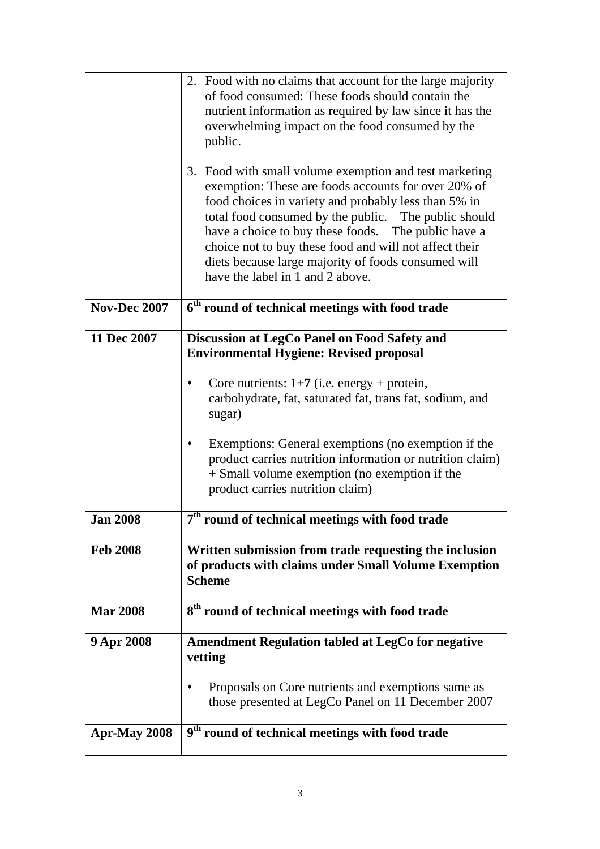|                 | 2. Food with no claims that account for the large majority<br>of food consumed: These foods should contain the<br>nutrient information as required by law since it has the<br>overwhelming impact on the food consumed by the<br>public.<br>3. Food with small volume exemption and test marketing<br>exemption: These are foods accounts for over 20% of<br>food choices in variety and probably less than 5% in<br>total food consumed by the public. The public should<br>have a choice to buy these foods. The public have a<br>choice not to buy these food and will not affect their<br>diets because large majority of foods consumed will<br>have the label in 1 and 2 above. |
|-----------------|---------------------------------------------------------------------------------------------------------------------------------------------------------------------------------------------------------------------------------------------------------------------------------------------------------------------------------------------------------------------------------------------------------------------------------------------------------------------------------------------------------------------------------------------------------------------------------------------------------------------------------------------------------------------------------------|
| Nov-Dec 2007    | 6 <sup>th</sup> round of technical meetings with food trade                                                                                                                                                                                                                                                                                                                                                                                                                                                                                                                                                                                                                           |
|                 |                                                                                                                                                                                                                                                                                                                                                                                                                                                                                                                                                                                                                                                                                       |
| 11 Dec 2007     | Discussion at LegCo Panel on Food Safety and<br><b>Environmental Hygiene: Revised proposal</b>                                                                                                                                                                                                                                                                                                                                                                                                                                                                                                                                                                                        |
|                 | Core nutrients: $1+7$ (i.e. energy + protein,<br>٠<br>carbohydrate, fat, saturated fat, trans fat, sodium, and<br>sugar)                                                                                                                                                                                                                                                                                                                                                                                                                                                                                                                                                              |
|                 | Exemptions: General exemptions (no exemption if the<br>٠<br>product carries nutrition information or nutrition claim)<br>+ Small volume exemption (no exemption if the<br>product carries nutrition claim)                                                                                                                                                                                                                                                                                                                                                                                                                                                                            |
| <b>Jan 2008</b> | 7 <sup>th</sup><br>round of technical meetings with food trade                                                                                                                                                                                                                                                                                                                                                                                                                                                                                                                                                                                                                        |
| <b>Feb 2008</b> | Written submission from trade requesting the inclusion<br>of products with claims under Small Volume Exemption<br><b>Scheme</b>                                                                                                                                                                                                                                                                                                                                                                                                                                                                                                                                                       |
| <b>Mar 2008</b> | 8 <sup>th</sup> round of technical meetings with food trade                                                                                                                                                                                                                                                                                                                                                                                                                                                                                                                                                                                                                           |
| 9 Apr 2008      | <b>Amendment Regulation tabled at LegCo for negative</b><br>vetting                                                                                                                                                                                                                                                                                                                                                                                                                                                                                                                                                                                                                   |
|                 | Proposals on Core nutrients and exemptions same as<br>those presented at LegCo Panel on 11 December 2007                                                                                                                                                                                                                                                                                                                                                                                                                                                                                                                                                                              |
| Apr-May 2008    | 9 <sup>th</sup> round of technical meetings with food trade                                                                                                                                                                                                                                                                                                                                                                                                                                                                                                                                                                                                                           |